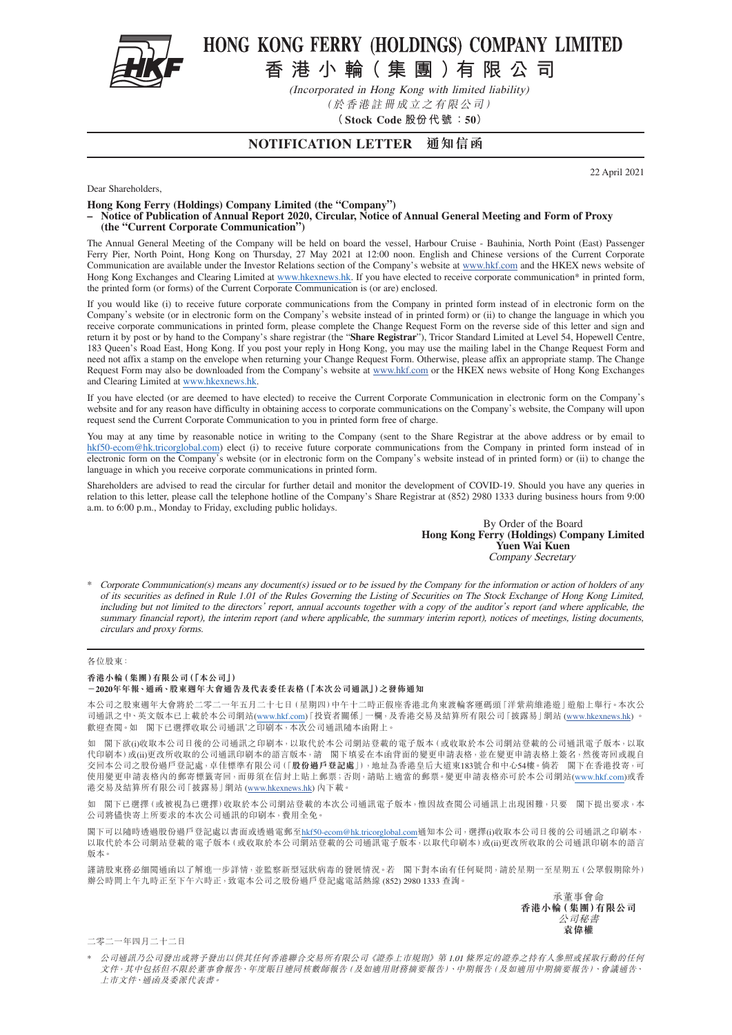

## HONG KONG FERRY (HOLDINGS) COMPANY LIMITED

**香港小輪( 集團)有限公司**

(Incorporated in Hong Kong with limited liability) (於香港註冊成立之有限公司)

**(Stock Code 股份代 號:50)**

### **NOTIFICATION LETTER 通知信函**

22 April 2021

Dear Shareholders,

**Hong Kong Ferry (Holdings) Company Limited (the "Company")**

**– Notice of Publication of Annual Report 2020, Circular, Notice of Annual General Meeting and Form of Proxy (the "Current Corporate Communication")**

The Annual General Meeting of the Company will be held on board the vessel, Harbour Cruise - Bauhinia, North Point (East) Passenger Ferry Pier, North Point, Hong Kong on Thursday, 27 May 2021 at 12:00 noon. English and Chinese versions of the Current Corporate Communication are available under the Investor Relations section of the Company's website at [www.hkf.com](http://www.hkf.com/en) and the HKEX news website of Hong Kong Exchanges and Clearing Limited at www.hkexnews.hk. If you have elected to receive corporate communication\* in printed form, the printed form (or forms) of the Current Corporate Communication is (or are) enclosed.

If you would like (i) to receive future corporate communications from the Company in printed form instead of in electronic form on the Company's website (or in electronic form on the Company's website instead of in printed form) or (ii) to change the language in which you receive corporate communications in printed form, please complete the Change Request Form on the reverse side of this letter and sign and return it by post or by hand to the Company's share registrar (the "**Share Registrar**"), Tricor Standard Limited at Level 54, Hopewell Centre, 183 Queen's Road East, Hong Kong. If you post your reply in Hong Kong, you may use the mailing label in the Change Request Form and need not affix a stamp on the envelope when returning your Change Request Form. Otherwise, please affix an appropriate stamp. The Change Request Form may also be downloaded from the Company's website at [www.hkf.com](http://www.hkf.com/en) or the HKEX news website of Hong Kong Exchanges and Clearing Limited at www.hkexnews.hk.

If you have elected (or are deemed to have elected) to receive the Current Corporate Communication in electronic form on the Company's website and for any reason have difficulty in obtaining access to corporate communications on the Company's website, the Company will upon request send the Current Corporate Communication to you in printed form free of charge.

You may at any time by reasonable notice in writing to the Company (sent to the Share Registrar at the above address or by email to [hkf50-ecom@hk.tricorglobal.com\)](mailto:hkf50-ecom%40hk.tricorglobal.com?subject=) elect (i) to receive future corporate communications from the Company in printed form instead of in electronic form on the Company's website (or in electronic form on the Company's website instead of in printed form) or (ii) to change the language in which you receive corporate communications in printed form.

Shareholders are advised to read the circular for further detail and monitor the development of COVID-19. Should you have any queries in relation to this letter, please call the telephone hotline of the Company's Share Registrar at (852) 2980 1333 during business hours from 9:00 a.m. to 6:00 p.m., Monday to Friday, excluding public holidays.

> By Order of the Board **Hong Kong Ferry (Holdings) Company Limited Yuen Wai Kuen** Company Secretary

\* Corporate Communication(s) means any document(s) issued or to be issued by the Company for the information or action of holders of any of its securities as defined in Rule 1.01 of the Rules Governing the Listing of Securities on The Stock Exchange of Hong Kong Limited, including but not limited to the directors' report, annual accounts together with a copy of the auditor's report (and where applicable, the summary financial report), the interim report (and where applicable, the summary interim report), notices of meetings, listing documents, circulars and proxy forms.

#### 各位股東:

#### **香港小輪(集團)有限公司(「本公司」)**

#### **-2020年年報、通函、股東週年大會通告及代表委任表格(「本次公司通訊」)之發佈通知**

本公司之股東週年大會將於二零二一年五月二十七日(星期四)中午十二時正假座香港北角東渡輪客運碼頭「洋紫荊維港遊」遊船上舉行。本次公 司通訊之中、英文版本已上載於本公司網站(www.hkf.com)「投資者關係」一欄,及香港交易及結算所有限公司「披露易」網站 ([www.hkexnews.hk](https://www.hkexnews.hk/index_c.htm)) 歡迎查閱。如 閣下已選擇收取公司通訊\*之印刷本,本次公司通訊隨本函附上。

如 閣下欲(i)收取本公司日後的公司通訊之印刷本,以取代於本公司網站登載的電子版本(或收取於本公司網站登載的公司通訊電子版本,以取 代印刷本)或(ii)更改所收取的公司通訊印刷本的語言版本,請 閣下填妥在本函背面的變更申請表格,並在變更申請表格上簽名,然後寄回或親自 交回本公司之股份過戶登記處,卓佳標準有限公司(「**股份過戶登記處**」),地址為香港皇后大道東183號合和中心54樓。倘若 閣下在香港投寄,可 使用變更申請表格內的郵寄標籤寄回,而毋須在信封上貼上郵票;否則,請貼上適當的郵票。變更申請表格亦可於本公司網站(www.hkf.com)或香 港交易及結算所有限公司「披露易」網站 [\(www.hkexnews.hk\)](https://www.hkexnews.hk/index_c.htm) 內下載。

如 閣下已選擇(或被視為已選擇)收取於本公司網站登載的本次公司通訊電子版本,惟因故查閲公司通訊上出現困難,只要 閣下提出要求,本 公司將儘快寄上所要求的本次公司通訊的印刷本,費用全免。

閣下可以隨時透過股份過戶登記處以書面或透過電郵至[hkf50-ecom@hk.tricorglobal.com](mailto:hkf50-ecom%40hk.tricorglobal.com?subject=)通知本公司,選擇(i)收取本公司日後的公司通訊之印刷本, 以取代於本公司網站登載的電子版本(或收取於本公司網站登載的公司通訊電子版本,以取代印刷本)或(ii)更改所收取的公司通訊印刷本的語言 版本。

謹請股東務必細閱通函以了解進一步詳情,並監察新型冠狀病毒的發展情況。若 閣下對本函有任何疑問,請於星期一至星期五(公眾假期除外) 辦公時間上午九時正至下午六時正,致電本公司之股份過戶登記處電話熱線 (852) 2980 1333 查詢。

> 承董事會命 **香港小輪(集團)有限公司** 公司秘書 **袁偉權**

二零二一年四月二十二日

\* 公司通訊乃公司發出或將予發出以供其任何香港聯合交易所有限公司《證券上市規則》第 1.01 條界定的證券之持有人參照或採取行動的任何 文件,其中包括但不限於董事會報告、年度賬目連同核數師報告(及如適用財務摘要報告)、中期報告(及如適用中期摘要報告)、會議通告、 上市文件、通函及委派代表書。